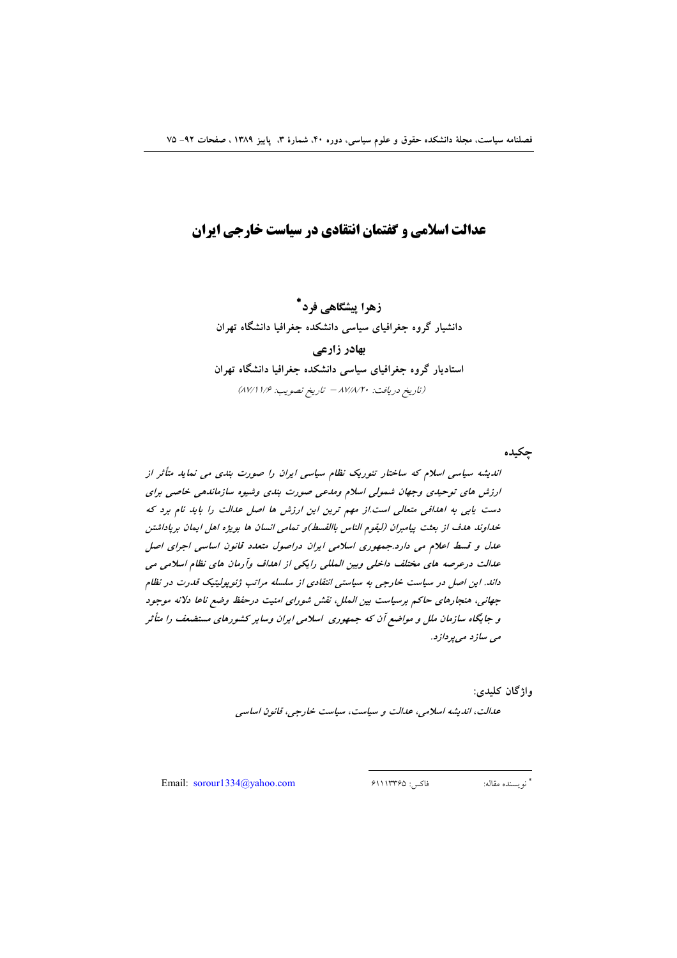# عدالت اسلامی و گفتمان انتقادی در سیاست خارجی ایران

.<br>زهرا پیشگاهی فرد<sup>\*</sup> دانشیار گروه جغرافیای سیاسی دانشکده جغرافیا دانشگاه تهران بهادر زارعى استادیار گروه جغرافیای سیاسی دانشکده جغرافیا دانشگاه تهران (تاريخ دريافت: ٨٧/٨/٢٠ - تاريخ تصويب: ٨٧/١١/٤)

جكيده

اندیشه سیاسی اسلام که ساختار تئوریک نظام سیاسی ایران را صورت بندی می نماید متأثر از ارزش های توحیدی وجهان شمولی اسلام ومدعی صورت بندی وشیوه سازماندهی خاصی برای دست یابی به اهدافی متعالی است.از مهم ترین این ارزش ها اصل عدالت را باید نام برد که خداوند هدف از بعثت پیامبران (لیقوم الناس باالقسط)و تمامی انسان ها بویژه اهل ایمان برپاداشتن عدل و قسط اعلام می دارد.جمهوری اسلامی ایران دراصول متعدد قانون اساسی اجرای اصل عدالت درعرصه های مختلف داخلی وبین المللی رایکی از اهداف وآرمان های نظام اسلامی می داند. این اصل در سیاست خارجی به سیاستی انتقادی از سلسله مراتب ژئوپولیتیک قدرت در نظام جهانی، هنجارهای حاکم برسیاست بین الملل، نقش شورای امنیت درحفظ وضع ناعا دلانه موجود و جایگاه سازمان ملل و مواضع آن که جمهوری اسلامی ایران وسایر کشورهای مستضعف را متأثر می سازد می پردازد.

واژگان کليدي:

عدالت، اندیشه اسلامی، عدالت و سیاست، سیاست خارجی، قانون اساسی

Email:  $sorour1334@yahoo.com$ 

فاكس: ۶۱۱۱۳۳۶۵ \* نويسنده مقاله: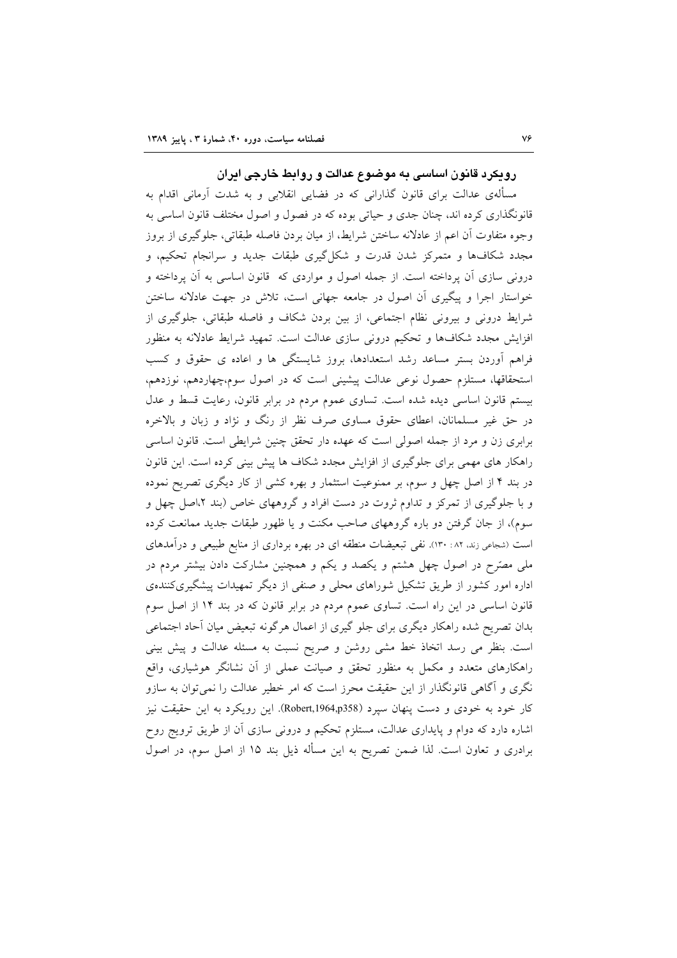### رویکرد قانون اساسی به موضوع عدالت و روابط خارجی ایران

مسألهى عدالت براى قانون گذارانى كه در فضايى انقلابى و به شدت أرمانى اقدام به قانونگذاری کرده اند، چنان جدی و حیاتی بوده که در فصول و اصول مختلف قانون اساسی به وجوه متفاوت أن اعم از عادلانه ساختن شرايط، از ميان بردن فاصله طبقاتي، جلوگيرى از بروز مجدد شکافها و متمرکز شدن قدرت و شکل گیری طبقات جدید و سرانجام تحکیم، و درونی سازی آن پرداخته است. از جمله اصول و مواردی که قانون اساسی به آن پرداخته و خواستار اجرا و پیگیری آن اصول در جامعه جهانی است، تلاش در جهت عادلانه ساختن شرایط درونی و بیرونی نظام اجتماعی، از بین بردن شکاف و فاصله طبقاتی، جلوگیری از افزایش مجدد شکافها و تحکیم درونی سازی عدالت است. تمهید شرایط عادلانه به منظور فراهم أوردن بستر مساعد رشد استعدادها، بروز شايستگي ها و اعاده ي حقوق و كسب استحقاقها، مستلزم حصول نوعی عدالت پیشینی است که در اصول سوم،چهاردهم، نوزدهم، بیستم قانون اساسی دیده شده است. تساوی عموم مردم در برابر قانون، رعایت قسط و عدل در حق غیر مسلمانان، اعطای حقوق مساوی صرف نظر از رنگ و نژاد و زبان و بالاخره برابری زن و مرد از جمله اصولی است که عهده دار تحقق چنین شرایطی است. قانون اساسی راهکار های مهمی برای جلوگیری از افزایش مجدد شکاف ها پیش بینی کرده است. این قانون در بند ۴ از اصل چهل و سوم، بر ممنوعیت استثمار و بهره کشی از کار دیگری تصریح نموده و با جلوگیری از تمرکز و تداوم ثروت در دست افراد و گروههای خاص (بند ۲،اصل چهل و سوم)، از جان گرفتن دو باره گروههای صاحب مکنت و یا ظهور طبقات جدید ممانعت کرده است (شجاعی زند. ۱۲۰ : ۱۳۰). نفی تبعیضات منطقه ای در بهره برداری از منابع طبیعی و درآمدهای ملی مصرّح در اصول چهل هشتم و یکصد و یکم و همچنین مشارکت دادن بیشتر مردم در اداره امور کشور از طریق تشکیل شوراهای محلی و صنفی از دیگر تمهیدات پیشگیریکنندهی قانون اساسی در این راه است. تساوی عموم مردم در برابر قانون که در بند ۱۴ از اصل سوم بدان تصریح شده راهکار دیگری برای جلو گیری از اعمال هرگونه تبعیض میان أحاد اجتماعی است. بنظر می رسد اتخاذ خط مشی روشن و صریح نسبت به مسئله عدالت و پیش بینی راهکارهای متعدد و مکمل به منظور تحقق و صیانت عملی از آن نشانگر هوشیاری، واقع نگری و آگاهی قانونگذار از این حقیقت محرز است که امر خطیر عدالت را نمیتوان به سازو کار خود به خودی و دست پنهان سیرد (Robert,1964,p358). این رویکرد به این حقیقت نیز اشاره دارد که دوام و پایداری عدالت، مستلزم تحکیم و درونی سازی اَن از طریق ترویج روح برادری و تعاون است. لذا ضمن تصریح به این مسأله ذیل بند ۱۵ از اصل سوم، در اصول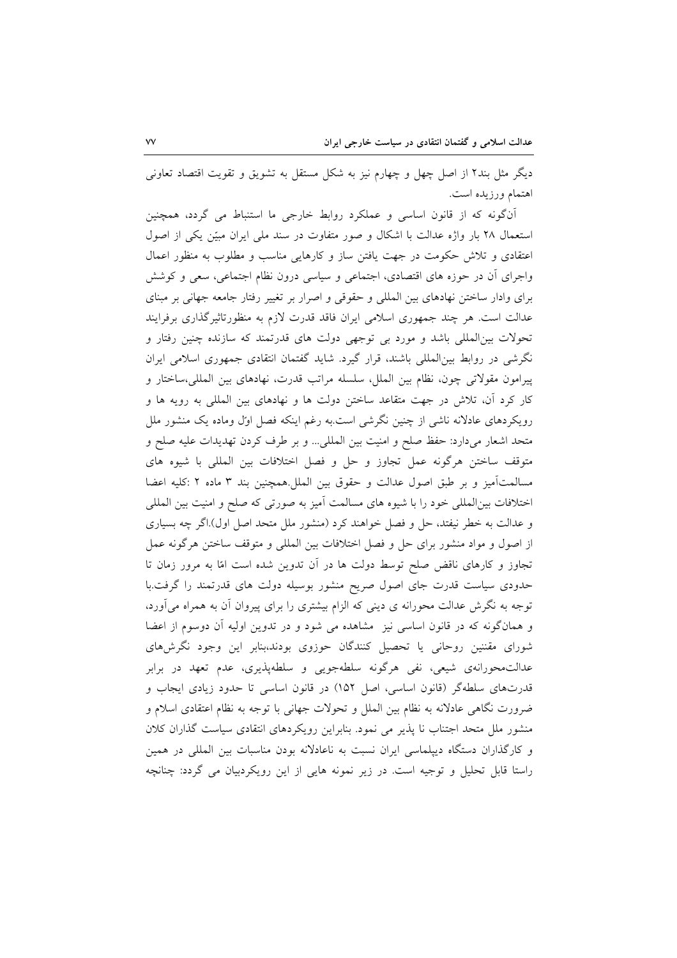دیگر مثل بند۲ از اصل چهل و چهارم نیز به شکل مستقل به تشویق و تقویت اقتصاد تعاونی اهتمام ورزيده است.

أنگونه که از قانون اساسی و عملکرد روابط خارجی ما استنباط می گردد، همچنین استعمال ٢٨ بار واژه عدالت با اشكال و صور متفاوت در سند ملي ايران مبيّن يكي از اصول اعتقادی و تلاش حکومت در جهت یافتن ساز و کارهایی مناسب و مطلوب به منظور اعمال واجرای آن در حوزه های اقتصادی، اجتماعی و سیاسی درون نظام اجتماعی، سعی و کوشش برای وادار ساختن نهادهای بین المللی و حقوقی و اصرار بر تغییر رفتار جامعه جهانی بر مبنای عدالت است. هر چند جمهوری اسلامی ایران فاقد قدرت لازم به منظورتاثیرگذاری برفرایند تحولات بین المللی باشد و مورد بی توجهی دولت های قدرتمند که سازنده چنین رفتار و نگرشی در روابط بینالمللی باشند، قرار گیرد. شاید گفتمان انتقادی جمهوری اسلامی ایران پیرامون مقولاتی چون، نظام بین الملل، سلسله مراتب قدرت، نهادهای بین المللی،ساختار و کار کرد آن، تلاش در جهت متقاعد ساختن دولت ها و نهادهای بین المللی به رویه ها و رویکردهای عادلانه ناشی از چنین نگرشی است.به رغم اینکه فصل اول وماده یک منشور ملل متحد اشعار ميدارد: حفظ صلح و امنيت بين المللي... و بر طرف كردن تهديدات عليه صلح و متوقف ساختن هرگونه عمل تجاوز وحل و فصل اختلافات بين المللي با شيوه هاى مسالمت آميز و بر طبق اصول عدالت و حقوق بين الملل همچنين بند ٣ ماده ٢ :كليه اعضا اختلافات بین المللی خود را با شیوه های مسالمت آمیز به صورتی که صلح و امنیت بین المللی و عدالت به خطر نیفتد، حل و فصل خواهند کرد (منشور ملل متحد اصل اول).اگر چه بسیاری از اصول و مواد منشور براي حل و فصل اختلافات بين المللي و متوقف ساختن هرگونه عمل تجاوز و کارهای ناقض صلح توسط دولت ها در آن تدوین شده است امّا به مرور زمان تا حدودی سیاست قدرت جای اصول صریح منشور بوسیله دولت های قدرتمند را گرفت.با توجه به نگرش عدالت محورانه ی دینی که الزام بیشتری را برای پیروان آن به همراه میآورد، و همانگونه که در قانون اساسی نیز مشاهده می شود و در تدوین اولیه آن دوسوم از اعضا شورای مقننین روحانی یا تحصیل کنندگان حوزوی بودند،بنابر این وجود نگرشهای عدالت.محورانهي شيعي، نفي هرگونه سلطهجويي و سلطهپذيري، عدم تعهد در برابر قدرتهای سلطهگر (قانون اساسی، اصل ۱۵۲) در قانون اساسی تا حدود زیادی ایجاب و ضرورت نگاهی عادلانه به نظام بین الملل و تحولات جهانی با توجه به نظام اعتقادی اسلام و منشور ملل متحد اجتناب نا پذیر می نمود. بنابراین رویکردهای انتقادی سیاست گذاران کلان و کارگذاران دستگاه دیپلماسی ایران نسبت به ناعادلانه بودن مناسبات بین المللی در همین راستا قابل تحلیل و توجیه است. در زیر نمونه هایی از این رویکردبیان می گردد: چنانچه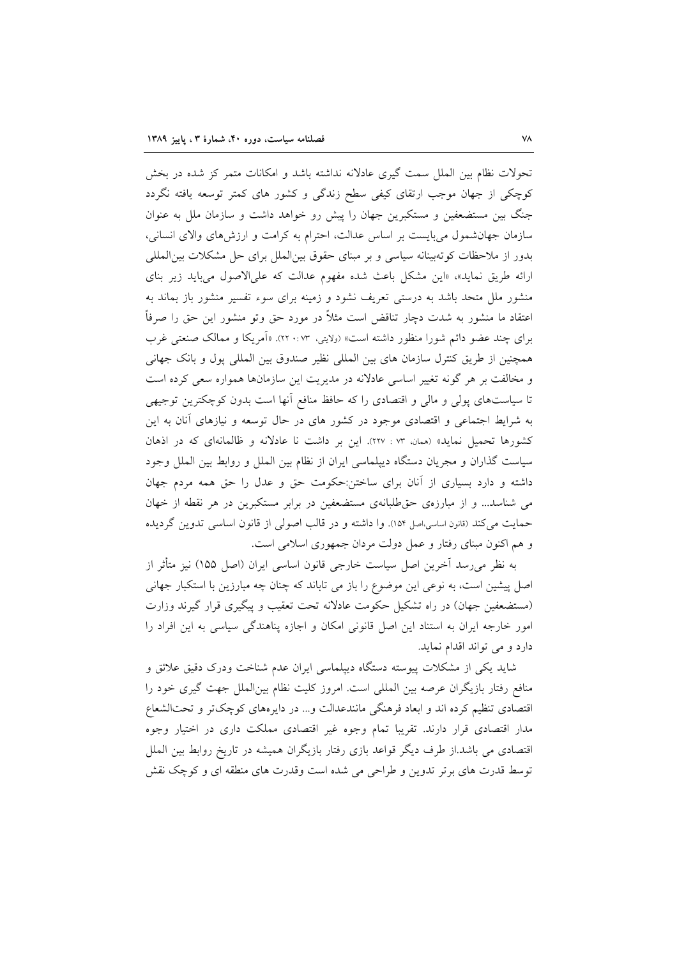تحولات نظام بین الملل سمت گیری عادلانه نداشته باشد و امکانات متمر کز شده در بخش کوچکی از جهان موجب ارتقای کیفی سطح زندگی و کشور های کمتر توسعه یافته نگردد جنگ بین مستضعفین و مستکبرین جهان را پیش رو خواهد داشت و سازمان ملل به عنوان سازمان جهانشمول میبایست بر اساس عدالت، احترام به کرامت و ارزشهای والای انسانی، بدور از ملاحظات کوتهبینانه سیاسی و بر مبنای حقوق بین الملل برای حل مشکلات بین المللی ارائه طریق نماید»، «این مشکل باعث شده مفهوم عدالت که علیالاصول میباید زیر بنای منشور ملل متحد باشد به درستی تعریف نشود و زمینه برای سوء تفسیر منشور باز بماند به اعتقاد ما منشور به شدت دچار تناقض است مثلاً در مورد حق وتو منشور این حق را صرفاً برای چند عضو دائم شورا منظور داشته است» (ولایتی، ۲۳ :۲۰٪. «اَمریکا و ممالک صنعتی غرب همچنین از طریق کنترل سازمان های بین المللی نظیر صندوق بین المللی پول و بانک جهانی و مخالفت بر هر گونه تغییر اساسی عادلانه در مدیریت این سازمانها همواره سعی کرده است تا سیاستهای پولی و مالی و اقتصادی را که حافظ منافع أنها است بدون کوچکترین توجیهی به شرایط اجتماعی و اقتصادی موجود در کشور های در حال توسعه و نیازهای آنان به این کشورها تحمیل نماید» (ممان. ۰۷۳ : ۲۲۷). این بر داشت نا عادلانه و ظالمانهای که در اذهان سیاست گذاران و مجریان دستگاه دیپلماسی ایران از نظام بین الملل و روابط بین الملل وجود داشته و دارد بسیاری از آنان برای ساختن:حکومت حق و عدل را حق همه مردم جهان می شناسد... و از مبارزهی حقطلبانهی مستضعفین در برابر مستکبرین در هر نقطه از خهان حمایت می کند (قانون اساسی،اصل ۱۵۴). وا داشته و در قالب اصولی از قانون اساسی تدوین گردیده و هم اکنون مبنای رفتار و عمل دولت مردان جمهوری اسلامی است.

به نظر میرسد آخرین اصل سیاست خارجی قانون اساسی ایران (اصل ۱۵۵) نیز متأثر از اصل پیشین است، به نوعی این موضوع را باز می تاباند که چنان چه مبارزین با استکبار جهانی (مستضعفین جهان) در راه تشکیل حکومت عادلانه تحت تعقیب و پیگیری قرار گیرند وزارت امور خارجه ایران به استناد این اصل قانونی امکان و اجازه پناهندگی سیاسی به این افراد را دارد و می تواند اقدام نماید.

شاید یکی از مشکلات پیوسته دستگاه دیپلماسی ایران عدم شناخت ودرک دقیق علائق و منافع رفتار بازیگران عرصه بین المللی است. امروز کلیت نظام بینالملل جهت گیری خود را اقتصادی تنظیم کرده اند و ابعاد فرهنگی مانندعدالت و... در دایرههای کوچکتر و تحتالشعاع مدار اقتصادی قرار دارند. تقریبا تمام وجوه غیر اقتصادی مملکت داری در اختیار وجوه اقتصادی می باشد.از طرف دیگر قواعد بازی رفتار بازیگران همیشه در تاریخ روابط بین الملل توسط قدرت های برتر تدوین و طراحی می شده است وقدرت های منطقه ای و کوچک نقش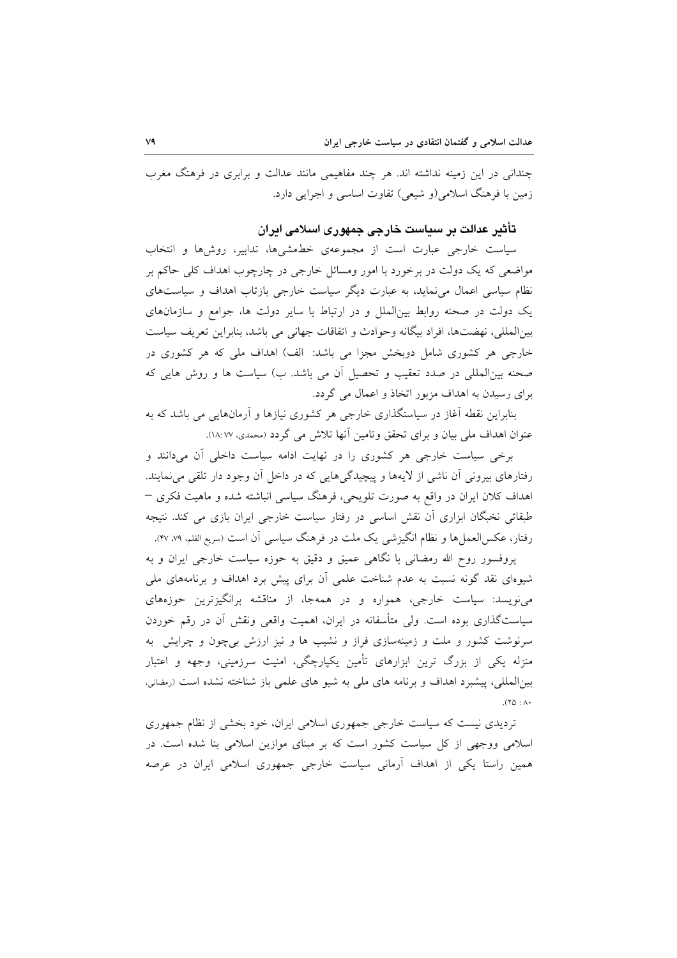چندانی در این زمینه نداشته اند. هر چند مفاهیمی مانند عدالت و برابری در فرهنگ مغرب زمین با فرهنگ اسلامی(و شیعی) تفاوت اساسی و اجرایی دارد.

## تأثیر عدالت بر سیاست خارجی جمهوری اسلامی ایران

سیاست خارجی عبارت است از مجموعهی خطمشیها، تدابیر، روشها و انتخاب مواضعی که یک دولت در برخورد با امور ومسائل خارجی در چارچوب اهداف کلی حاکم بر نظام سیاسی اعمال می نماید، به عبارت دیگر سیاست خارجی بازتاب اهداف و سیاستهای یک دولت در صحنه روابط بینِالملل و در ارتباط با سایر دولت ها، جوامع و سازمانهای بين المللي، نهضتها، افراد بيگانه وحوادث و اتفاقات جهاني مي باشد، بنابراين تعريف سياست خارجی هر کشوری شامل دوبخش مجزا می باشد: الف) اهداف ملی که هر کشوری در صحنه بین|لمللی در صدد تعقیب و تحصیل آن می باشد. ب) سیاست ها و روش هایی که برای رسیدن به اهداف مزبور اتخاذ و اعمال می گردد.

بنابراین نقطه آغاز در سیاستگذاری خارجی هر کشوری نیازها و آرمانهایی می باشد که به عنوان اهداف ملي بيان و براي تحقق وتامين آنها تلاش مي گردد (محمدي، ١٨:٧٧).

برخی سیاست خارجی هر کشوری را در نهایت ادامه سیاست داخلی آن میدانند و رفتارهای بیرونی آن ناشی از لایهها و پیچیدگیهایی که در داخل آن وجود دار تلقی میiمایند. اهداف کلان ایران در واقع به صورت تلویحی، فرهنگ سیاسی انباشته شده و ماهیت فکری – طبقاتی نخبگان ابزاری آن نقش اساسی در رفتار سیاست خارجی ایران بازی می کند. نتیجه رفتار، عکسالعملها و نظام انگیزشی یک ملت در فرهنگ سیاسی آن است (سریع القلم، ۹٪ ۴۷).

پروفسور روح الله رمضانی با نگاهی عمیق و دقیق به حوزه سیاست خارجی ایران و به شیوهای نقد گونه نسبت به عدم شناخت علمی آن برای پیش برد اهداف و برنامههای ملی مینویسد: سیاست خارجی، همواره و در همهجا، از مناقشه برانگیزترین حوزههای سیاستگذاری بوده است. ولی متأسفانه در ایران، اهمیت واقعی ونقش آن در رقم خوردن سرنوشت کشور و ملت و زمینهسازی فراز و نشیب ها و نیز ارزش بیچون و چرایش به منزله یکی از بزرگ ترین ابزارهای تأمین یکپارچگی، امنیت سرزمینی، وجهه و اعتبار بینالمللی، پیشبرد اهداف و برنامه های ملی به شیو های علمی باز شناخته نشده است (رمضانی،  $\Lambda$ : 47).

تردیدی نیست که سیاست خارجی جمهوری اسلامی ایران، خود بخشی از نظام جمهوری اسلامی ووجهی از کل سیاست کشور است که بر مبنای موازین اسلامی بنا شده است. در همین راستا یکی از اهداف آرمانی سیاست خارجی جمهوری اسلامی ایران در عرصه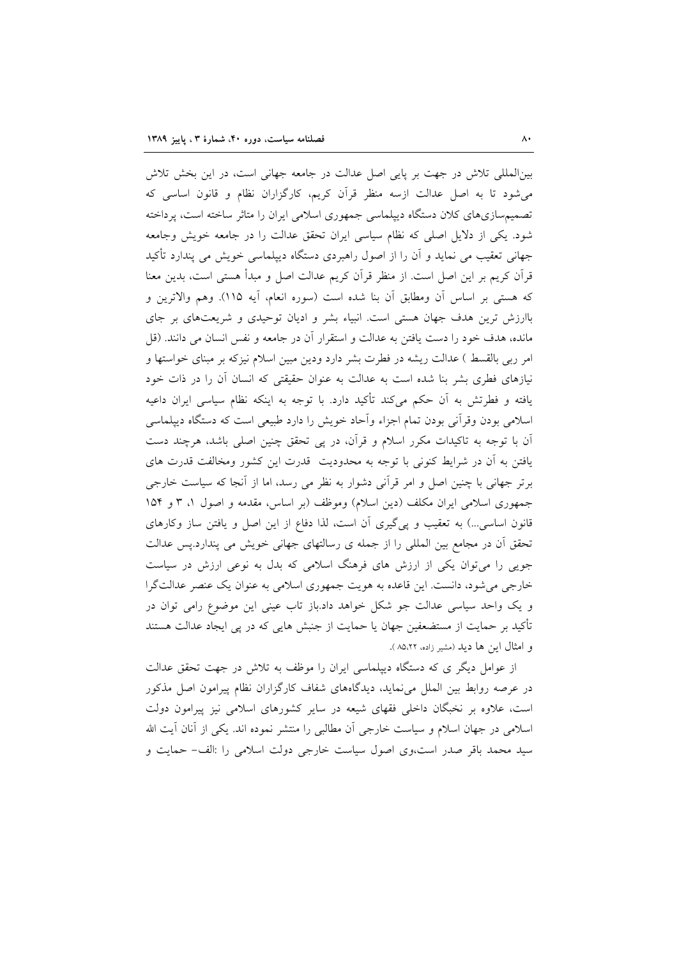بینالمللی تلاش در جهت بر پایی اصل عدالت در جامعه جهانی است، در این بخش تلاش می شود تا به اصل عدالت ازسه منظر قرآن کریم، کارگزاران نظام و قانون اساسی که تصمیمسازیهای کلان دستگاه دیپلماسی جمهوری اسلامی ایران را متاثر ساخته است، پرداخته شود. یکی از دلایل اصلی که نظام سیاسی ایران تحقق عدالت را در جامعه خویش وجامعه جهانی تعقیب می نماید و اَن را از اصول راهبردی دستگاه دیپلماسی خویش می پندارد تأکید قرآن کریم بر این اصل است. از منظر قرآن کریم عدالت اصل و مبدأ هستی است، بدین معنا كه هستي بر اساس أن ومطابق أن بنا شده است (سوره انعام، أيه ١١۵). وهم والاترين و باارزش ترین هدف جهان هستی است. انبیاء بشر و ادیان توحیدی و شریعتهای بر جای مانده، هدف خود را دست یافتن به عدالت و استقرار آن در جامعه و نفس انسان می دانند. (قل امر ربی بالقسط ) عدالت ریشه در فطرت بشر دارد ودین مبین اسلام نیزکه بر مبنای خواستها و نیازهای فطری بشر بنا شده است به عدالت به عنوان حقیقتی که انسان آن را در ذات خود یافته و فطرتش به آن حکم میکند تأکید دارد. با توجه به اینکه نظام سیاسی ایران داعیه اسلامی بودن وقرأنی بودن تمام اجزاء وأحاد خویش را دارد طبیعی است که دستگاه دیپلماسی آن با توجه به تاکیدات مکرر اسلام و قرآن، در پی تحقق چنین اصلی باشد، هرچند دست یافتن به آن در شرایط کنونی با توجه به محدودیت قدرت این کشور ومخالفت قدرت های برتر جهانی با چنین اصل و امر قرأنی دشوار به نظر می رسد، اما از آنجا که سیاست خارجی جمهوری اسلامی ایران مکلف (دین اسلام) وموظف (بر اساس، مقدمه و اصول ۱، ۳ و ۱۵۴ قانون اساسی...) به تعقیب و پی گیری آن است، لذا دفاع از این اصل و یافتن ساز وکارهای تحقق أن در مجامع بين المللي را از جمله ي رسالتهاي جهاني خويش مي يندارد.پس عدالت جویی را میتوان یکی از ارزش های فرهنگ اسلامی که بدل به نوعی ارزش در سیاست خارجي مي شود، دانست. اين قاعده به هويت جمهوري اسلامي به عنوان يک عنصر عدالتگرا و یک واحد سیاسی عدالت جو شکل خواهد داد.باز تاب عینی این موضوع رامی توان در تأکید بر حمایت از مستضعفین جهان یا حمایت از جنبش هایی که در پی ایجاد عدالت هستند و امثال این ها دید (مشیر زاده، ۸۵٬۲۲).

از عوامل دیگر ی که دستگاه دیپلماسی ایران را موظف به تلاش در جهت تحقق عدالت در عرصه روابط بین الملل می نماید، دیدگاههای شفاف کارگزاران نظام پیرامون اصل مذکور است، علاوه بر نخبگان داخلی فقهای شیعه در سایر کشورهای اسلامی نیز پیرامون دولت اسلامی در جهان اسلام و سیاست خارجی أن مطالبی را منتشر نموده اند. یکی از أنان أیت الله سید محمد باقر صدر است،وی اصول سیاست خارجی دولت اسلامی را :الف- حمایت و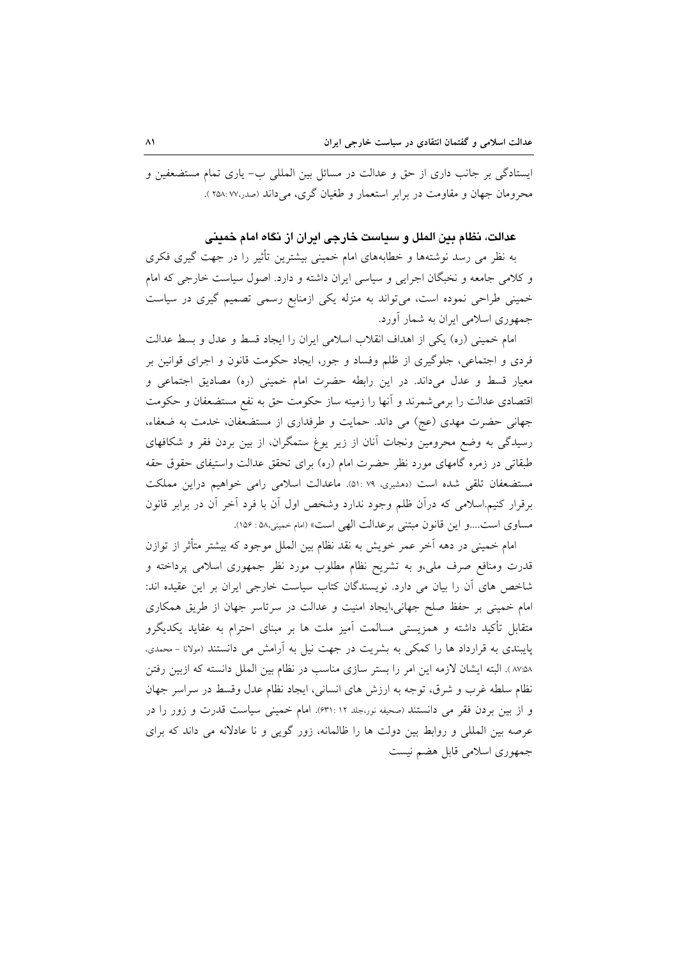ایستادگی بر جانب داری از حق و عدالت در مسائل بین المللی ب- یاری تمام مستضعفین و محرومان جهان و مقاومت در برابر استعمار و طغیان گری، می داند (صدر،۲۵۸: ۷۷ ).

#### عدالت، نظام بين الملل و سياست خارجي ايران از نگاه امام خميني

به نظر می رسد نوشتهها و خطابههای امام خمینی بیشترین تأثیر را در جهت گیری فکری و کلامی جامعه و نخبگان اجرایی و سیاسی ایران داشته و دارد. اصول سیاست خارجی که امام خمینی طراحی نموده است، می تواند به منزله یکی ازمنابع رسمی تصمیم گیری در سیاست جمهوری اسلامی ایران به شمار آورد.

امام خميني (ره) يكي از اهداف انقلاب اسلامي ايران را ايجاد قسط و عدل و بسط عدالت فردی و اجتماعی، جلوگیری از ظلم وفساد و جور، ایجاد حکومت قانون و اجرای قوانین بر معیار قسط و عدل میداند. در این رابطه حضرت امام خمینی (ره) مصادیق اجتماعی و اقتصادی عدالت را برمیشمرند و آنها را زمینه ساز حکومت حق به نفع مستضعفان و حکومت جهانی حضرت مهدی (عج) می داند. حمایت و طرفداری از مستضعفان، خدمت به ضعفاء، رسیدگی به وضع محرومین ونجات آنان از زیر یوغ ستمگران، از بین بردن فقر و شکافهای طبقاتی در زمره گامهای مورد نظر حضرت امام (ره) برای تحقق عدالت واستیفای حقوق حقه مستضعفان تلقی شده است (دهشیری، ۵۱: ۵۱). ماعدالت اسلامی رامی خواهیم دراین مملکت برقرار کنیم.اسلامی که درآن ظلم وجود ندارد وشخص اول آن با فرد آخر آن در برابر قانون مساوي است....و اين قانون مبتني برعدالت الهي است» (امام خميني،٥٨ : ١٥۶).

امام خمینی در دهه آخر عمر خویش به نقد نظام بین الملل موجود که بیشتر متأثر از توازن قدرت ومنافع صرف ملي،و به تشريح نظام مطلوب مورد نظر جمهورى اسلامى پرداخته و شاخص های اّن را بیان می دارد. نویسندگان کتاب سیاست خارجی ایران بر این عقیده اند: امام خمینی بر حفظ صلح جهانی،ایجاد امنیت و عدالت در سرتاسر جهان از طریق همکاری متقابل تأکید داشته و همزیستی مسالمت آمیز ملت ها بر مبنای احترام به عقاید یکدیگرو پایبندی به قرارداد ها را کمکی به بشریت در جهت نیل به آرامش می دانستند (مولانا - محمدی، ۸۵:۵۸). البته ایشان لازمه این امر را بستر سازی مناسب در نظام بین الملل دانسته که ازبین رفتن نظام سلطه غرب و شرق، توجه به ارزش های انسانی، ایجاد نظام عدل وقسط در سراسر جهان و از بین بردن فقر می دانستند (صحیفه نور،جلد ۲۱: ۶۳۱). امام خمینی سیاست قدرت و زور را در عرصه بین المللی و روابط بین دولت ها را ظالمانه، زور گویی و نا عادلانه می داند که برای جمهوري اسلامي قابل هضم نيست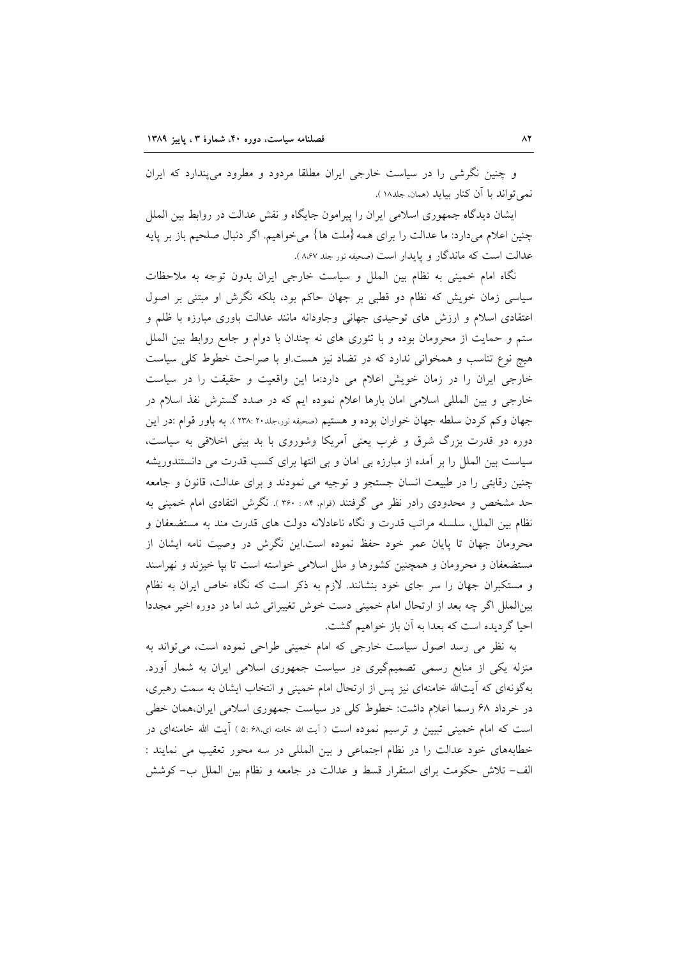و چنین نگرشی را در سیاست خارجی ایران مطلقا مردود و مطرود می پندارد که ایران نمي تواند يا آن كنار بيايد (همان، جلد١٨).

ایشان دیدگاه جمهوری اسلامی ایران را پیرامون جایگاه و نقش عدالت در روابط بین الملل چنین اعلام میدارد: ما عدالت را برای همه {ملت ها} میخواهیم. اگر دنبال صلحیم باز بر پایه عدالت است كه ماندگار و پايدار است (صحيفه نور جلد ٨،۶٧).

نگاه امام خمینی به نظام بین الملل و سیاست خارجی ایران بدون توجه به ملاحظات سیاسی زمان خویش که نظام دو قطبی بر جهان حاکم بود، بلکه نگرش او مبتنی بر اصول اعتقادی اسلام و ارزش های توحیدی جهانی وجاودانه مانند عدالت باوری مبارزه با ظلم و ستم و حمایت از محرومان بوده و با تئوری های نه چندان با دوام و جامع روابط بین الملل هیچ نوع تناسب و همخوانی ندارد که در تضاد نیز هست او با صراحت خطوط کلی سیاست خارجی ایران را در زمان خویش اعلام می دارد:ما این واقعیت و حقیقت را در سیاست خارجی و بین المللی اسلامی امان بارها اعلام نموده ایم که در صدد گسترش نفذ اسلام در جهان وكم كردن سلطه جهان خواران بوده و هستيم (صحيفه نور،جلد٢٠ :٢٣٨). به باور قوام :در اين دوره دو قدرت بزرگ شرق و غرب یعنی آمریکا وشوروی با بد بینی اخلاقی به سیاست، سیاست بین الملل را بر آمده از مبارزه بی امان و بی انتها برای کسب قدرت می دانستندوریشه چنین رقابتی را در طبیعت انسان جستجو و توجیه می نمودند و برای عدالت، قانون و جامعه حد مشخص و محدودی رادر نظر می گرفتند (قوام، ۸۴ : ۳۶۰). نگرش انتقادی امام خمینی به نظام بین الملل، سلسله مراتب قدرت و نگاه ناعادلانه دولت های قدرت مند به مستضعفان و محرومان جهان تا پایان عمر خود حفظ نموده است.این نگرش در وصیت نامه ایشان از مستضعفان و محرومان و همچنین کشورها و ملل اسلامی خواسته است تا بپا خیزند و نهراسند و مستکبران جهان را سر جای خود بنشانند. لازم به ذکر است که نگاه خاص ایران به نظام بینالملل اگر چه بعد از ارتحال امام خمینی دست خوش تغییراتی شد اما در دوره اخیر مجددا احیا گردیده است که بعدا به آن باز خواهیم گشت.

به نظر می رسد اصول سیاست خارجی که امام خمینی طراحی نموده است، میتواند به منزله یکی از منابع رسمی تصمیمگیری در سیاست جمهوری اسلامی ایران به شمار آورد. بهگونهای که آیتالله خامنهای نیز پس از ارتحال امام خمینی و انتخاب ایشان به سمت رهبری، در خرداد ۶۸ رسما اعلام داشت: خطوط کلی در سیاست جمهوری اسلامی ایران،همان خطی است که امام خمینی تبیین و ترسیم نموده است ( آیت الله خامنه ای،۶۸ :۵ ) آیت الله خامنهای در خطابههای خود عدالت را در نظام اجتماعی و بین المللی در سه محور تعقیب می نمایند : الف- تلاش حکومت برای استقرار قسط و عدالت در جامعه و نظام بین الملل ب- کوشش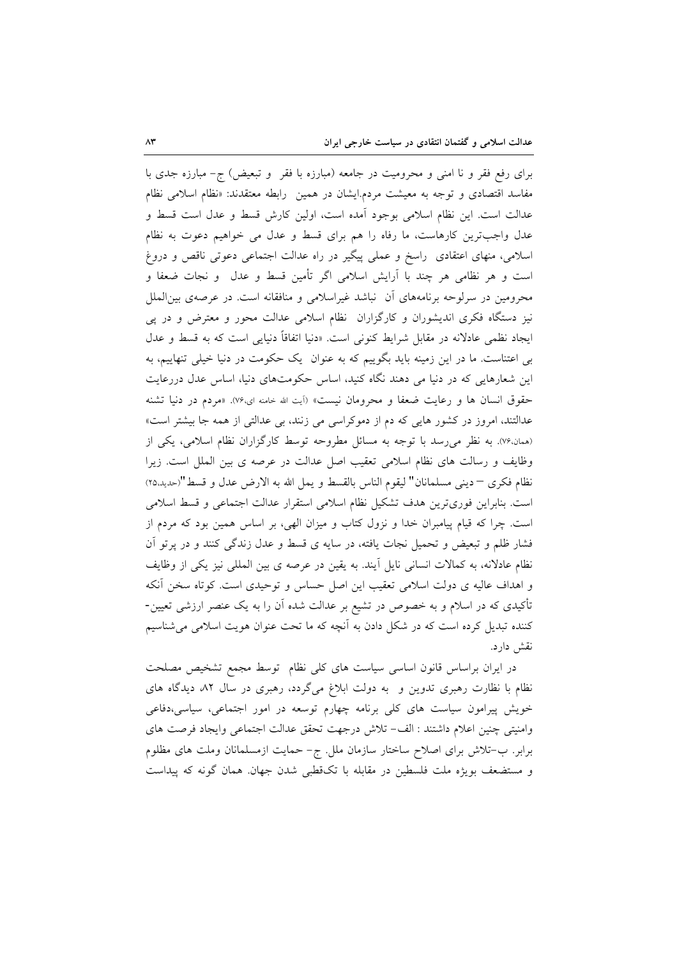برای رفع فقر و نا امنی و محرومیت در جامعه (مبارزه با فقر ۖ و تبعیض) ج- مبارزه جدی با مفاسد اقتصادی و توجه به معیشت مردم.ایشان در همین رابطه معتقدند: «نظام اسلامی نظام عدالت است. این نظام اسلامی بوجود آمده است، اولین کارش قسط و عدل است قسط و عدل واجبترین کارهاست، ما رفاه را هم برای قسط و عدل می خواهیم دعوت به نظام اسلامی، منهای اعتقادی راسخ و عملی پیگیر در راه عدالت اجتماعی دعوتی ناقص و دروغ است و هر نظامی هر چند با اَرایش اسلامی اگر تأمین قسط و عدل ً و نجات ضعفا و محرومین در سرلوحه برنامههای آن نباشد غیراسلامی و منافقانه است. در عرصهی بین|لملل نیز دستگاه فکری اندیشوران و کارگزاران نظام اسلامی عدالت محور و معترض و در پی ایجاد نظمی عادلانه در مقابل شرایط کنونی است. «دنیا اتفاقاً دنیایی است که به قسط و عدل بی اعتناست. ما در این زمینه باید بگوییم که به عنوان یک حکومت در دنیا خیلی تنهاییم، به این شعارهایی که در دنیا می دهند نگاه کنید، اساس حکومتهای دنیا، اساس عدل دررعایت حقوق انسان ها و رعایت ضعفاً و محرومان نیست» (آیت الله خامنه ای،۷۶). «مردم در دنیا تشنه عدالتند، امروز در کشور هایی که دم از دموکراسی می زنند، بی عدالتی از همه جا بیشتر است» (همان،۷۶). به نظر می رسد با توجه به مسائل مطروحه توسط کارگزاران نظام اسلامی، یکی از وظایف و رسالت های نظام اسلامی تعقیب اصل عدالت در عرصه ی بین الملل است. زیرا نظام فكرى –ديني مسلمانان" ليقوم الناس بالقسط و يمل الله به الارض عدل و قسط "(حديد.٢٥) است. بنابراین فوریترین هدف تشکیل نظام اسلامی استقرار عدالت اجتماعی و قسط اسلامی است. چرا که قیام پیامبران خدا و نزول کتاب و میزان الهی، بر اساس همین بود که مردم از فشار ظلم و تبعیض و تحمیل نجات یافته، در سایه ی قسط و عدل زندگی کنند و در پرتو آن نظام عادلانه، به کمالات انسانی نایل أیند. به یقین در عرصه ی بین المللی نیز یکی از وظایف و اهداف عالیه ی دولت اسلامی تعقیب این اصل حساس و توحیدی است. کوتاه سخن آنکه تأکیدی که در اسلام و به خصوص در تشیع بر عدالت شده آن را به یک عنصر ارزشی تعیین-کننده تبدیل کرده است که در شکل دادن به آنچه که ما تحت عنوان هویت اسلامی میشناسیم نقش دارد.

در ایران براساس قانون اساسی سیاست های کلی نظام توسط مجمع تشخیص مصلحت نظام با نظارت رهبری تدوین و به دولت ابلاغ میگردد، رهبری در سال ۸۲ دیدگاه های خویش پیرامون سیاست های کلی برنامه چهارم توسعه در امور اجتماعی، سیاسی،دفاعی وامنيتي چنين اعلام داشتند : الف- تلاش درجهت تحقق عدالت اجتماعي وايجاد فرصت هاى برابر. ب–تلاش برای اصلاح ساختار سازمان ملل. ج– حمایت ازمسلمانان وملت های مظلوم و مستضعف بويژه ملت فلسطين در مقابله با تك قطبي شدن جهان همان گونه كه پيداست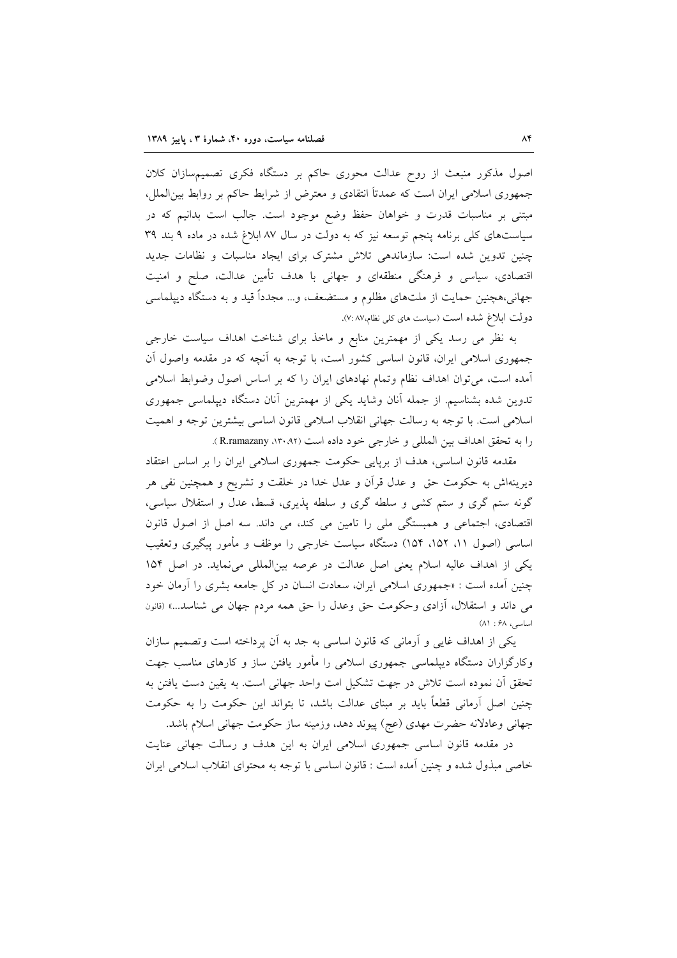اصول مذکور منبعث از روح عدالت محوری حاکم بر دستگاه فکری تصمیمسازان کلان جمهوری اسلامی ایران است که عمدتاً انتقادی و معترض از شرایط حاکم بر روابط بین|لملل، مبتنی بر مناسبات قدرت و خواهان حفظ وضع موجود است. جالب است بدانیم که در سیاستهای کلی برنامه پنجم توسعه نیز که به دولت در سال ۸۷ ابلاغ شده در ماده ۹ بند ۳۹ چنین تدوین شده است: سازماندهی تلاش مشترک برای ایجاد مناسبات و نظامات جدید اقتصادی، سیاسی و فرهنگی منطقهای و جهانی با هدف تأمین عدالت، صلح و امنیت جهانی،هچنین حمایت از ملتهای مظلوم و مستضعف، و… مجدداً قید و به دستگاه دیپلماسی دولت ابلاغ شده است (سیاست های کلی نظام،۷: ۸۷).

به نظر می رسد یکی از مهمترین منابع و ماخذ برای شناخت اهداف سیاست خارجی جمهوری اسلامی ایران، قانون اساسی کشور است، با توجه به أنچه که در مقدمه واصول أن آمده است، می توان اهداف نظام وتمام نهادهای ایران را که بر اساس اصول وضوابط اسلامی تدوین شده بشناسیم. از جمله آنان وشاید یکی از مهمترین أنان دستگاه دیپلماسی جمهوری اسلامی است. با توجه به رسالت جهانی انقلاب اسلامی قانون اساسی بیشترین توجه و اهمیت را به تحقق اهداف بين المللي و خارجي خود داده است (١٣٠،٩٢، R.ramazany).

مقدمه قانون اساسی، هدف از برپایی حکومت جمهوری اسلامی ایران را بر اساس اعتقاد دیرینهاش به حکومت حق ً و عدل قرآن و عدل خدا در خلقت و تشریح و همچنین نفی هر گونه ستم گری و ستم کشی و سلطه گری و سلطه پذیری، قسط، عدل و استقلال سیاسی، اقتصادی، اجتماعی و همبستگی ملی را تامین می کند، می داند. سه اصل از اصول قانون اساسی (اصول ۱۱، ۱۵۲، ۱۵۴) دستگاه سیاست خارجی را موظف و مأمور پیگیری وتعقیب یکی از اهداف عالیه اسلام یعنی اصل عدالت در عرصه بینالمللی می نماید. در اصل ۱۵۴ چنین آمده است : «جمهوری اسلامی ایران، سعادت انسان در کل جامعه بشری را آرمان خود می داند و استقلال، آزادی وحکومت حق وعدل را حق همه مردم جهان می شناسد...» (قانون اساسی، ۶۸ : ۸۱)

یکی از اهداف غایی و آرمانی که قانون اساسی به جد به آن پرداخته است وتصمیم سازان وکارگزاران دستگاه دیپلماسی جمهوری اسلامی را مأمور یافتن ساز و کارهای مناسب جهت تحقق آن نموده است تلاش در جهت تشکیل امت واحد جهانی است. به یقین دست یافتن به چنین اصل اَرمانی قطعاً باید بر مبنای عدالت باشد، تا بتواند این حکومت را به حکومت جهاني وعادلانه حضرت مهدي (عج) پيوند دهد، وزمينه ساز حكومت جهاني اسلام باشد.

در مقدمه قانون اساسی جمهوری اسلامی ایران به این هدف و رسالت جهانی عنایت خاصی مبذول شده و چنین آمده است : قانون اساسی با توجه به محتوای انقلاب اسلامی ایران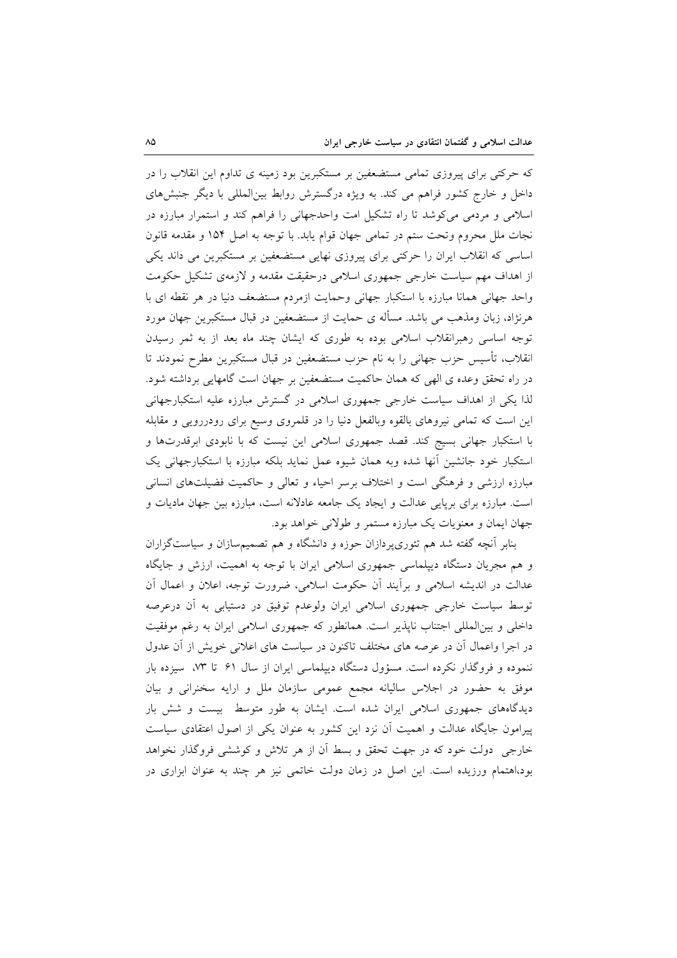که حرکتی برای پیروزی تمامی مستضعفین بر مستکبرین بود زمینه ی تداوم این انقلاب را در داخل و خارج کشور فراهم می کند. به ویژه درگسترش روابط بینالمللی با دیگر جنبشهای اسلامی و مردمی میکوشد تا راه تشکیل امت واحدجهانی را فراهم کند و استمرار مبارزه در نجات ملل محروم وتحت ستم در تمامی جهان قوام یابد. با توجه به اصل ۱۵۴ و مقدمه قانون اساسی که انقلاب ایران را حرکتی برای پیروزی نهایی مستضعفین بر مستکبرین می داند یکی از اهداف مهم سیاست خارجی جمهوری اسلامی درحقیقت مقدمه و لازمهی تشکیل حکومت واحد جهانی همانا مبارزه با استکبار جهانی وحمایت ازمردم مستضعف دنیا در هر نقطه ای با هرنژاد، زبان ومذهب می باشد. مسأله ی حمایت از مستضعفین در قبال مستکبرین جهان مورد توجه اساسی رهبرانقلاب اسلامی بوده به طوری که ایشان چند ماه بعد از به ثمر رسیدن انقلاب، تأسیس حزب جهانی را به نام حزب مستضعفین در قبال مستکبرین مطرح نمودند تا در راه تحقق وعده ي الهي كه همان حاكميت مستضعفين بر جهان است گامهايي برداشته شود. لذا یکی از اهداف سیاست خارجی جمهوری اسلامی در گسترش مبارزه علیه استکبارجهانی این است که تمامی نیروهای بالقوه وبالفعل دنیا را در قلمروی وسیع برای رودررویی و مقابله با استکبار جهانی بسیج کند. قصد جمهوری اسلامی این نیست که با نابودی ابرقدرتها و استکبار خود جانشین آنها شده وبه همان شیوه عمل نماید بلکه مبارزه با استکبارجهانی یک مبارزه ارزشی و فرهنگی است و اختلاف برسر احیاء و تعالی و حاکمیت فضیلتهای انسانی است. مبارزه برای برپایی عدالت و ایجاد یک جامعه عادلانه است، مبارزه بین جهان مادیات و جهان ايمان و معنويات يک مبارزه مستمر و طولاني خواهد بود.

بنابر آنچه گفته شد هم تئوری پردازان حوزه و دانشگاه و هم تصمیمسازان و سیاستگزاران و هم مجریان دستگاه دیپلماسی جمهوری اسلامی ایران با توجه به اهمیت، ارزش و جایگاه عدالت در اندیشه اسلامی و برأیند آن حکومت اسلامی، ضرورت توجه، اعلان و اعمال آن توسط سیاست خارجی جمهوری اسلامی ایران ولوعدم توفیق در دستیابی به آن درعرصه داخلی و بینالمللی اجتناب ناپذیر است. همانطور که جمهوری اسلامی ایران به رغم موفقیت در اجرا واعمال آن در عرصه های مختلف تاکنون در سیاست های اعلانی خویش از آن عدول ننموده و فروگذار نکرده است. مسؤول دستگاه دیپلماسی ایران از سال ۶۱ تا ۷۳، سیزده بار موفق به حضور در اجلاس ساليانه مجمع عمومي سازمان ملل و ارايه سخنراني و بيان دیدگاههای جمهوری اسلامی ایران شده است. ایشان به طور متوسط بیست و شش بار پیرامون جایگاه عدالت و اهمیت اَن نزد این کشور به عنوان یکی از اصول اعتقادی سیاست خارجی ٍ دولت خود که در جهت تحقق و بسط آن از هر تلاش و کوششی فروگذار نخواهد بود،اهتمام ورزیده است. این اصل در زمان دولت خاتمی نیز هر چند به عنوان ابزاری در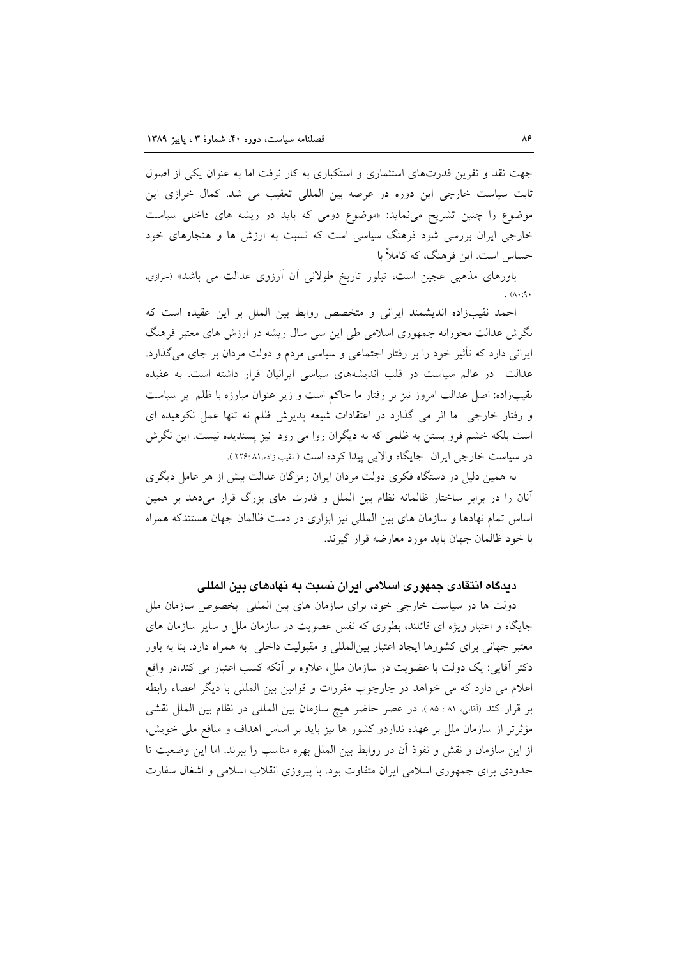جهت نقد و نفرین قدرتهای استثماری و استکباری به کار نرفت اما به عنوان یکی از اصول ثابت سیاست خارجی این دوره در عرصه بین المللی تعقیب می شد. کمال خرازی این موضوع را چنین تشریح می نماید: «موضوع دومی که باید در ریشه های داخلی سیاست خارجی ایران بررسی شود فرهنگ سیاسی است که نسبت به ارزش ها و هنجارهای خود حساس است. این فرهنگ، که کاملاً با

باورهای مذهبی عجین است، تبلور تاریخ طولانی آن آرزوی عدالت می باشد» (<sub>خرازی،</sub>  $(A \cdot A)$ 

احمد نقیبزاده اندیشمند ایرانی و متخصص روابط بین الملل بر این عقیده است که نگرش عدالت محورانه جمهوری اسلامی طی این سی سال ریشه در ارزش های معتبر فرهنگ ایرانی دارد که تأثیر خود را بر رفتار اجتماعی و سیاسی مردم و دولت مردان بر جای می گذارد. عدالت در عالم سیاست در قلب اندیشههای سیاسی ایرانیان قرار داشته است. به عقیده نقیبزاده: اصل عدالت امروز نیز بر رفتار ما حاکم است و زیر عنوان مبارزه با ظلم بر سیاست و رفتار خارجی ما اثر می گذارد در اعتقادات شیعه پذیرش ظلم نه تنها عمل نکوهیده ای است بلکه خشم فرو بستن به ظلمی که به دیگران روا می رود نیز پسندیده نیست. این نگرش در سياست خارجي ايران جايگاه والايي پيدا كرده است ( نقيب زاده،٨١ :٢٢۶).

به همین دلیل در دستگاه فکری دولت مردان ایران رمزگان عدالت بیش از هر عامل دیگری آنان را در برابر ساختار ظالمانه نظام بین الملل و قدرت های بزرگ قرار میدهد بر همین اساس تمام نهادها و سازمان های بین المللی نیز ابزاری در دست ظالمان جهان هستندکه همراه با خود ظالمان جهان بايد مورد معارضه قرار گيرند.

#### دیدگاه انتقادی جمهوری اسلامی ایران نسبت به نهادهای بین المللی

دولت ها در سیاست خارجی خود، برای سازمان های بین المللی بخصوص سازمان ملل جایگاه و اعتبار ویژه ای قائلند، بطوری که نفس عضویت در سازمان ملل و سایر سازمان های معتبر جهانی برای کشورها ایجاد اعتبار بین|لمللی و مقبولیت داخلی به همراه دارد. بنا به باور دکتر آقایی: یک دولت با عضویت در سازمان ملل، علاوه بر آنکه کسب اعتبار می کند،در واقع اعلام می دارد که می خواهد در چارچوب مقررات و قوانین بین المللی با دیگر اعضاء رابطه بر قرار كند (آقايي، ٨١: ٨٥ ). در عصر حاضر هيچ سازمان بين المللي در نظام بين الملل نقشى مؤثرتر از سازمان ملل بر عهده نداردو كشور ها نيز بايد بر اساس اهداف و منافع ملي خويش، از این سازمان و نقش و نفوذ آن در روابط بین الملل بهره مناسب را ببرند. اما این وضعیت تا حدودی برای جمهوری اسلامی ایران متفاوت بود. با پیروزی انقلاب اسلامی و اشغال سفارت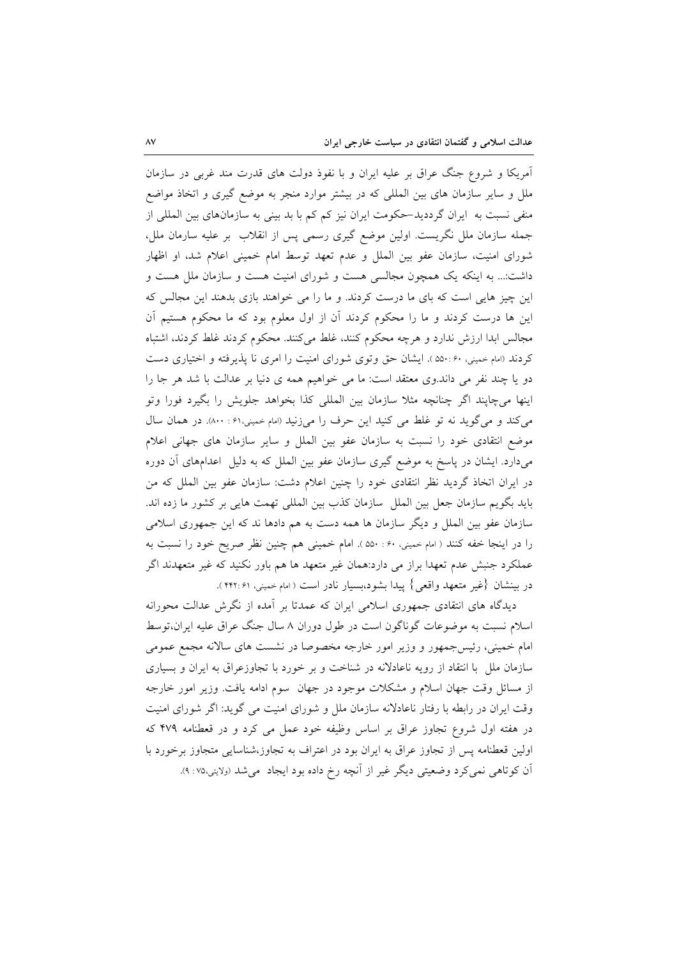آمریکا و شروع جنگ عراق بر علیه ایران و با نفوذ دولت های قدرت مند غربی در سازمان ملل و سایر سازمان های بین المللی که در بیشتر موارد منجر به موضع گیری و اتخاذ مواضع منفی نسبت به ایران گرددید-حکومت ایران نیز کم کم با بد بینی به سازمانهای بین المللی از جمله سازمان ملل نگریست. اولین موضع گیری رسمی پس از انقلاب بر علیه سارمان ملل، شورای امنیت، سازمان عفو بین الملل و عدم تعهد توسط امام خمینی اعلام شد، او اظهار داشت:... به اینکه یک همچون مجالسی هست و شورای امنیت هست و سازمان ملل هست و این چیز هایی است که بای ما درست کردند. و ما را می خواهند بازی بدهند این مجالس که این ها درست کردند و ما را محکوم کردند آن از اول معلوم بود که ما محکوم هستیم آن مجالس ابدا ارزش ندارد و هرچه محکوم کنند، غلط میکنند. محکوم کردند غلط کردند، اشتباه کردند (امام خمینی، ۵۵۰:۶۰ ). ایشان حق وتوی شورای امنیت را امری نا پذیرفته و اختیاری دست دو یا چند نفر می داند.وی معتقد است: ما می خواهیم همه ی دنیا بر عدالت با شد هر جا را اینها میچاپند اگر چنانچه مثلا سازمان بین المللی کذا بخواهد جلویش را بگیرد فورا وتو می کند و می گوید نه تو غلط می کنید این حرف را میزنید (امام خمینی،۶۱ : ۸۰۰). در همان سال موضع انتقادی خود را نسبت به سازمان عفو بین الملل و سایر سازمان های جهانی اعلام میدارد. ایشان در پاسخ به موضع گیری سازمان عفو بین الملل که به دلیل اعدامهای آن دوره در ایران اتخاذ گردید نظر انتقادی خود را چنین اعلام دشت: سازمان عفو بین الملل که من بايد بگويم سازمان جعل بين الملل ً سازمان كذب بين المللي تهمت هايي بر كشور ما زده اند. سازمان عفو بین الملل و دیگر سازمان ها همه دست به هم دادها ند که این جمهوری اسلامی را در اينجا خفه كنند ( امام خميني، ۶۰: ۵۵۰). امام خميني هم چنين نظر صريح خود را نسبت به عملکرد جنبش عدم تعهدا براز می دارد:همان غیر متعهد ها هم باور نکنید که غیر متعهدند اگر در بينشان {غير متعهد واقعي} پيدا بشود،بسيار نادر است ( امام خميني، ۴۲:۶۱).

دیدگاه های انتقادی جمهوری اسلامی ایران که عمدتا بر آمده از نگرش عدالت محورانه اسلام نسبت به موضوعات گوناگون است در طول دوران ۸ سال جنگ عراق علیه ایران،توسط امام خمینی، رئیس جمهور و وزیر امور خارجه مخصوصا در نشست های سالانه مجمع عمومی سازمان ملل با انتقاد از رویه ناعادلانه در شناخت و بر خورد با تجاوزعراق به ایران و بسیاری از مسائل وقت جهان اسلام و مشکلات موجود در جهان سوم ادامه یافت. وزیر امور خارجه وقت ایران در رابطه با رفتار ناعادلانه سازمان ملل و شورای امنیت می گوید: اگر شورای امنیت در هفته اول شروع تجاوز عراق بر اساس وظیفه خود عمل می کرد و در قعطنامه ۴۷۹ که اولین قعطنامه پس از تجاوز عراق به ایران بود در اعتراف به تجاوز،شناسایی متجاوز برخورد با اّن کوتاهی نمیکرد وضعیتی دیگر غیر از آنچه رخ داده بود ایجاد ً میشد (ولایتی،۷۵ :۹).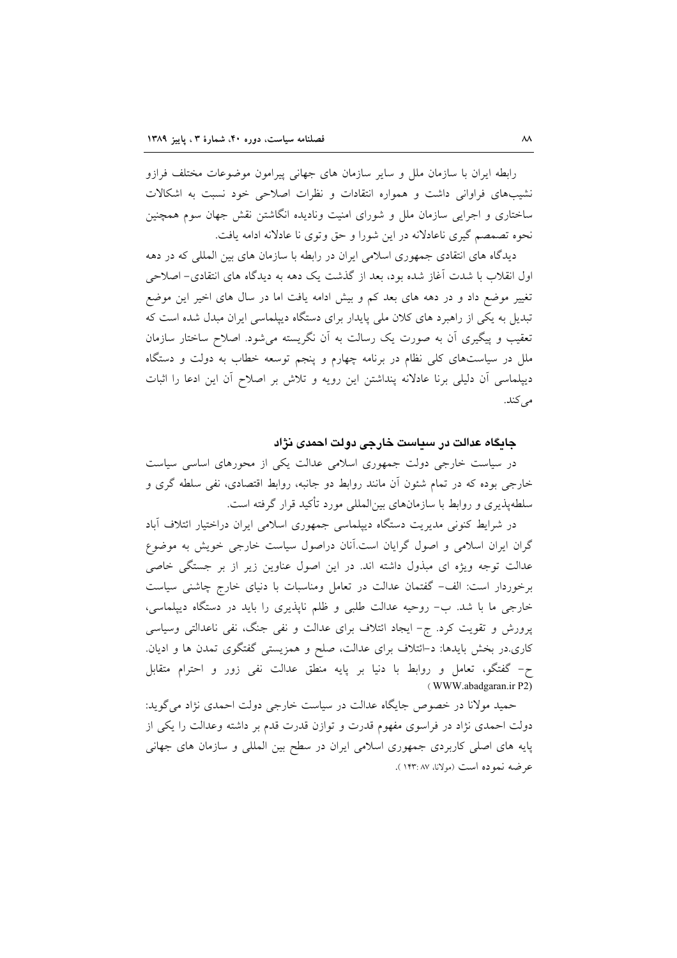رابطه ايران با سازمان ملل و ساير سازمان هاى جهانى پيرامون موضوعات مختلف فرازو نشیبهای فراوانی داشت و همواره انتقادات و نظرات اصلاحی خود نسبت به اشکالات ساختاری و اجرایی سازمان ملل و شورای امنیت ونادیده انگاشتن نقش جهان سوم همچنین نحوه تصمصم گیری ناعادلانه در این شورا و حق وتوی نا عادلانه ادامه یافت.

دیدگاه های انتقادی جمهوری اسلامی ایران در رابطه با سازمان های بین المللی که در دهه اول انقلاب با شدت آغاز شده بود، بعد از گذشت یک دهه به دیدگاه های انتقادی– اصلاحی تغییر موضع داد و در دهه های بعد کم و بیش ادامه یافت اما در سال های اخیر این موضع تبدیل به یکی از راهبرد های کلان ملی پایدار برای دستگاه دیپلماسی ایران مبدل شده است که تعقیب و پیگیری اَن به صورت یک رسالت به اَن نگریسته میشود. اصلاح ساختار سازمان ملل در سیاستهای کلی نظام در برنامه چهارم و پنجم توسعه خطاب به دولت و دستگاه دیپلماسی آن دلیلی برنا عادلانه پنداشتن این رویه و تلاش بر اصلاح آن این ادعا را اثبات مى كند.

جايگاه عدالت در سياست خارجي دولت احمدي نژاد

در سیاست خارجی دولت جمهوری اسلامی عدالت یکی از محورهای اساسی سیاست خارجی بوده که در تمام شئون آن مانند روابط دو جانبه، روابط اقتصادی، نفی سلطه گری و سلطهپذیری و روابط با سازمانهای بین|لمللی مورد تأکید قرار گرفته است.

در شرایط کنونی مدیریت دستگاه دیپلماسی جمهوری اسلامی ایران دراختیار ائتلاف آباد گران ایران اسلامی و اصول گرایان است.آنان دراصول سیاست خارجی خویش به موضوع عدالت توجه ویژه ای مبذول داشته اند. در این اصول عناوین زیر از بر جستگی خاصی برخوردار است: الف- گفتمان عدالت در تعامل ومناسبات با دنیای خارج چاشنی سیاست خارجی ما با شد. ب- روحیه عدالت طلبی و ظلم ناپذیری را باید در دستگاه دیپلماسی، پرورش و تقویت کرد. ج- ایجاد ائتلاف برای عدالت و نفی جنگ، نفی ناعدالتی وسیاسی کاری.در بخش بایدها: د-ائتلاف برای عدالت، صلح و همزیستی گفتگوی تمدن ها و ادیان. ح– گفتگو، تعامل و روابط با دنیا بر پایه منطق عدالت نفی زور و احترام متقابل (WWW.abadgaran.ir P2)

حمید مولانا در خصوص جایگاه عدالت در سیاست خارجی دولت احمدی نژاد می گوید: دولت احمدی نژاد در فراسوی مفهوم قدرت و توازن قدرت قدم بر داشته وعدالت را یکی از پایه های اصلی کاربردی جمهوری اسلامی ایران در سطح بین المللی و سازمان های جهانی عرضه نموده است (مولانا، ۱۴۳:۸۷).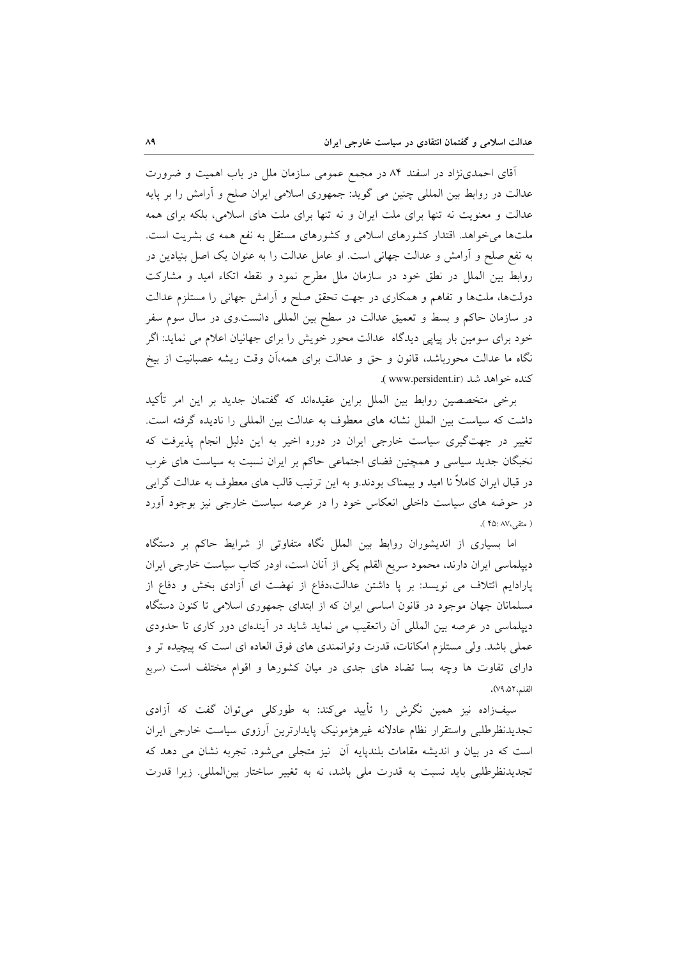آقای احمدینژاد در اسفند ۸۴ در مجمع عمومی سازمان ملل در باب اهمیت و ضرورت عدالت در روابط بین المللی چنین می گوید: جمهوری اسلامی ایران صلح و أرامش را بر پایه عدالت و معنویت نه تنها برای ملت ایران و نه تنها برای ملت های اسلامی، بلکه برای همه ملتها میخواهد. اقتدار کشورهای اسلامی و کشورهای مستقل به نفع همه ی بشریت است. به نفع صلح و آرامش و عدالت جهانی است. او عامل عدالت را به عنوان یک اصل بنیادین در روابط بین الملل در نطق خود در سازمان ملل مطرح نمود و نقطه اتکاء امید و مشارکت دولتها، ملتها و تفاهم و همکاری در جهت تحقق صلح و آرامش جهانی را مستلزم عدالت در سازمان حاکم و بسط و تعمیق عدالت در سطح بین المللی دانست.وی در سال سوم سفر خود برای سومین بار پیاپی دیدگاه عدالت محور خویش را برای جهانیان اعلام می نماید: اگر نگاه ما عدالت محورباشد، قانون و حق و عدالت برای همه،آن وقت ریشه عصبانیت از بیخ كنده خواهد شد (www.persident.ir).

برخی متخصصین روابط بین الملل براین عقیدهاند که گفتمان جدید بر این امر تأکید داشت كه سياست بين الملل نشانه هاى معطوف به عدالت بين المللي را ناديده گرفته است. تغییر در جهتگیری سیاست خارجی ایران در دوره اخیر به این دلیل انجام پذیرفت که نخبگان جدید سیاسی و همچنین فضای اجتماعی حاکم بر ایران نسبت به سیاست های غرب در قبال ایران کاملاً نا امید و بیمناک بودند.و به این ترتیب قالب های معطوف به عدالت گرایی در حوضه های سیاست داخلی انعکاس خود را در عرصه سیاست خارجی نیز بوجود آورد ( متقى، ۴۵: ۴۵ ).

اما بسیاری از اندیشوران روابط بین الملل نگاه متفاوتی از شرایط حاکم بر دستگاه دیپلماسی ایران دارند، محمود سریع القلم یکی از أنان است، اودر کتاب سیاست خارجی ایران پارادایم ائتلاف می نویسد: بر پا داشتن عدالت،دفاع از نهضت ای آزادی بخش و دفاع از مسلمانان جهان موجود در قانون اساسی ایران که از ابتدای جمهوری اسلامی تا کنون دستگاه دیپلماسی در عرصه بین المللی آن راتعقیب می نماید شاید در آیندهای دور کاری تا حدودی عملي باشد. ولي مستلزم امكانات، قدرت وتوانمندي هاي فوق العاده اي است كه پيچيده تر و دارای تفاوت ها وچه بسا تضاد های جدی در میان کشورها و اقوام مختلف است (سریع القلم، ٥٢، ٧٩).

سیفزاده نیز همین نگرش را تأیید میکند: به طورکلی میتوان گفت که آزادی تجديدنظرطلبي واستقرار نظام عادلانه غيرهژمونيک پايدارترين أرزوي سياست خارجي ايران است که در بیان و اندیشه مقامات بلندپایه اَن نیز متجلّی میشود. تجربه نشان می دهد که تجدیدنظرطلبی باید نسبت به قدرت ملی باشد، نه به تغییر ساختار بینالمللی. زیرا قدرت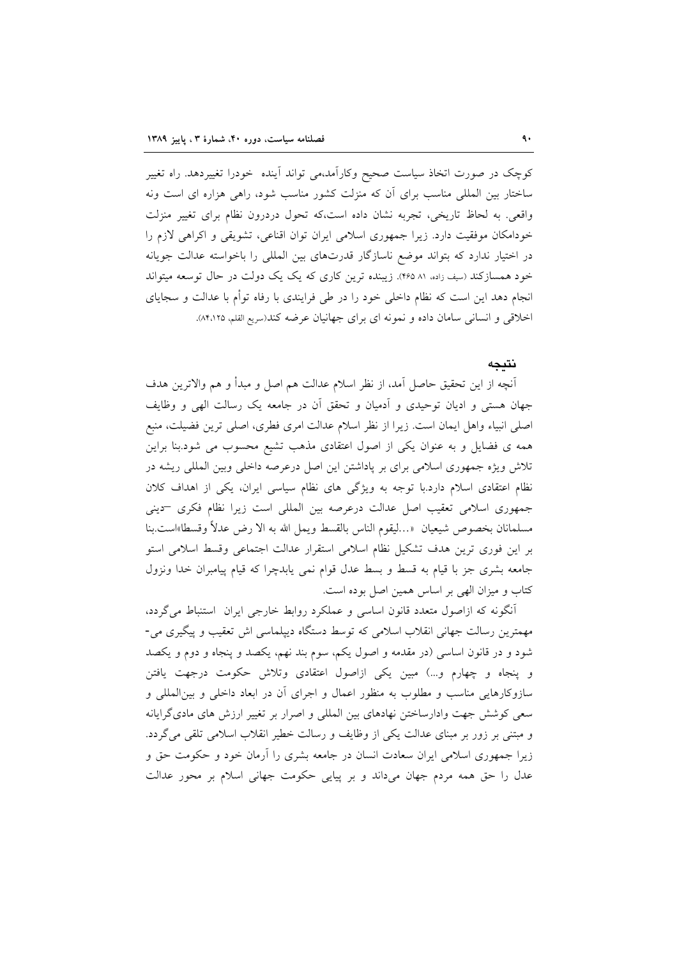کوچک در صورت اتخاذ سیاست صحیح وکاراًمد،می تواند اَینده خودرا تغییردهد. راه تغییر ساختار بین المللی مناسب برای آن که منزلت کشور مناسب شود، راهی هزاره ای است ونه واقعی. به لحاظ تاریخی، تجربه نشان داده است،که تحول دردرون نظام برای تغییر منزلت خودامکان موفقیت دارد. زیرا جمهوری اسلامی ایران توان اقناعی، تشویقی و اکراهی لازم را در اختیار ندارد که بتواند موضع ناسازگار قدرتهای بین المللی را باخواسته عدالت جویانه خود همسازکند (سیف زاده، ۸۱ ۴۶۵). زیبنده ترین کاری که یک یک دولت در حال توسعه میتواند انجام دهد این است که نظام داخلی خود را در طی فرایندی با رفاه توأم با عدالت و سجایای اخلاقی و انسانی سامان داده و نمونه ای برای جهانیان عرضه کند(سریع القلم، ۸۴٬۱۲۵).

#### نتيجه

آنچه از این تحقیق حاصل آمد، از نظر اسلام عدالت هم اصل و مبدأ و هم والاترین هدف جهان هستی و ادیان توحیدی و اَدمیان و تحقق اَن در جامعه یک رسالت الهی و وظایف اصلی انبیاء واهل ایمان است. زیرا از نظر اسلام عدالت امری فطری، اصلی ترین فضیلت، منبع همه ی فضایل و به عنوان یکی از اصول اعتقادی مذهب تشیع محسوب می شود.بنا براین تلاش ویژه جمهوری اسلامی برای بر پاداشتن این اصل درعرصه داخلی وبین المللی ریشه در نظام اعتقادی اسلام دارد.با توجه به ویژگی های نظام سیاسی ایران، یکی از اهداف کلان جمهوری اسلامی تعقیب اصل عدالت درعرصه بین المللی است زیرا نظام فکری -دینی مسلمانان بخصوص شيعيان «…ليقوم الناس بالقسط ويمل الله به الا رض عدلاً وقسطا»است.بنا بر این فوری ترین هدف تشکیل نظام اسلامی استقرار عدالت اجتماعی وقسط اسلامی استو جامعه بشری جز با قیام به قسط و بسط عدل قوام نمی یابدچرا که قیام پیامبران خدا ونزول کتاب و میزان الهی بر اساس همین اصل بوده است.

آنگونه که ازاصول متعدد قانون اساسی و عملکرد روابط خارجی ایران استنباط میگردد، مهمترین رسالت جهانی انقلاب اسلامی که توسط دستگاه دیپلماسی اش تعقیب و پیگیری می-شود و در قانون اساسی (در مقدمه و اصول یکم، سوم بند نهم، یکصد و پنجاه و دوم و یکصد و پنجاه و چهارم و...) مبین یکی ازاصول اعتقادی وتلاش حکومت درجهت یافتن سازوکارهایی مناسب و مطلوب به منظور اعمال و اجرای آن در ابعاد داخلی و بینالمللی و سعی کوشش جهت وادارساختن نهادهای بین المللی و اصرار بر تغییر ارزش های مادیگرایانه و مبتنی بر زور بر مبنای عدالت یکی از وظایف و رسالت خطیر انقلاب اسلامی تلقی میگردد. زیرا جمهوری اسلامی ایران سعادت انسان در جامعه بشری را آرمان خود و حکومت حق و عدل را حق همه مردم جهان میداند و بر پیایی حکومت جهانی اسلام بر محور عدالت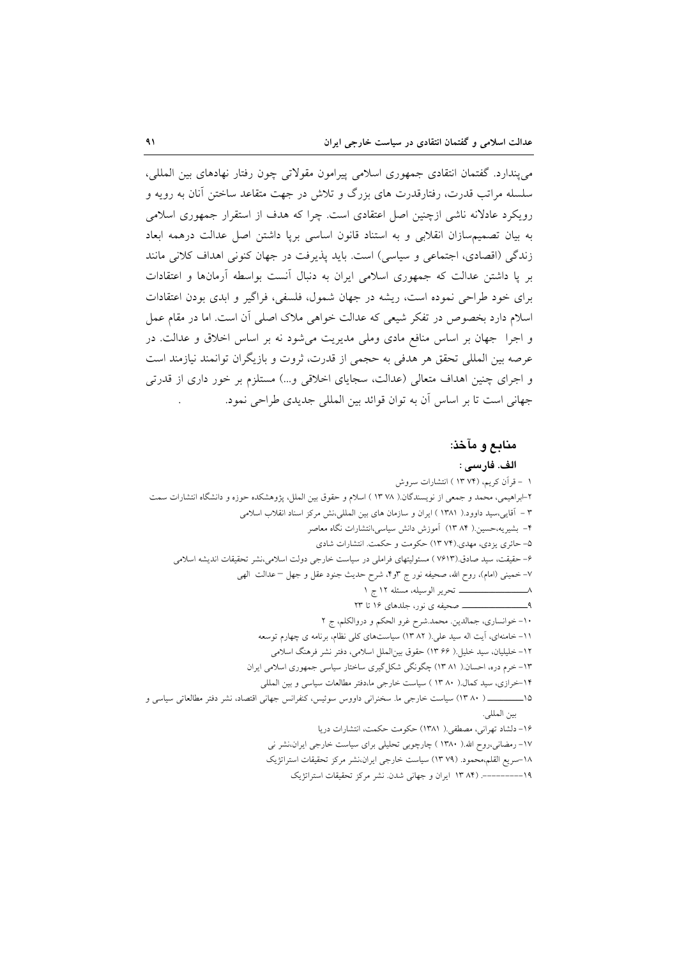مى پندارد. گفتمان انتقادى جمهورى اسلامى پيرامون مقولاتى چون رفتار نهادهاى بين المللى، سلسله مراتب قدرت، رفتارقدرت های بزرگ و تلاش در جهت متقاعد ساختن آنان به رویه و رویکرد عادلانه ناشی ازچنین اصل اعتقادی است. چرا که هدف از استقرار جمهوری اسلامی به بيان تصميمسازان انقلابي و به استناد قانون اساسي بريا داشتن اصل عدالت درهمه ابعاد زندگی (اقصادی، اجتماعی و سیاسی) است. باید پذیرفت در جهان کنونی اهداف کلانی مانند بر پا داشتن عدالت که جمهوری اسلامی ایران به دنبال أنست بواسطه أرمانها و اعتقادات برای خود طراحی نموده است، ریشه در جهان شمول، فلسفی، فراگیر و ابدی بودن اعتقادات اسلام دارد بخصوص در تفکر شیعی که عدالت خواهی ملاک اصلی آن است. اما در مقام عمل و اجرا جهان بر اساس منافع مادی وملی مدیریت میشود نه بر اساس اخلاق و عدالت. در عرصه بين المللي تحقق هر هدفي به حجمي از قدرت، ثروت و بازيگران توانمند نيازمند است و اجرای چنین اهداف متعالی (عدالت، سجایای اخلاقی و…) مستلزم بر خور داری از قدرتی جهاني است تا بر اساس أن به توان قوائد بين المللي جديدي طراحي نمود.

#### منابع و مآخذ:

الف. فارسى :

١ –قرأن كريم، (١٣ ١٣ ) انتشارات سروش ۲-ابراهیمی، محمد و جمعی از نویسندگان.( ۱۳۷۸) اسلام و حقوق بین الملل، یژوهشکده حوزه و دانشگاه انتشارات سمت ۳ - آقایی،سید داوود.( ۱۳۸۱ ) ایران و سازمان های بین المللی،نش مرکز اسناد انقلاب اسلامی ۴– بشیریه،حسین.( ۸۴ ۱۳) آموزش دانش سیاسی،انتشارات نگاه معاصر ۵– حائری یزدی، مهدی.(۱۳۷۴) حکومت و حکمت. انتشارات شادی ۶– حقیقت، سید صادق.(۷۶۱۳ ) مسئولیتهای فراملی در سیاست خارجی دولت اسلامی،نشر تحقیقات اندیشه اسلامی ٧– خميني (امام)، روح الله، صحيفه نور ج ٣و٢. شرح حديث جنود عقل و جهل – عدالت الهي ۱۰- خوانساری، جمالدین. محمد شرح غرو الحکم و دروالکلم، ج ۲ ١١- خامنهای، آیت اله سید علی.( ٨٢ ١٣) سیاستهای کلی نظام، برنامه ی چهارم توسعه ١٢- خليليان، سيد خليل.( ٢٤ ١٣) حقوق بين|لملل اسلامي، دفتر نشر فرهنگ اسلامي ۱۳- خرم دره، احسان ( ۱۳۸۱) چگونگی شکل گیری ساختار سیاسی جمهوری اسلامی ایران ۱۴–خرازی، سید کمال.( ۸۰ ۱۳ ) سیاست خارجی ما،دفتر مطالعات سیاسی و بین المللی ۱۵\_\_\_\_\_\_\_\_\_ ( ۱۳ ۸۰) سیاست خارجی ما. سخنرانی داووس سوئیس، کنفرانس جهانی اقتصاد، نشر دفتر مطالعاتی سیاسی و بين المللي. ١۶- دلشاد تهراني، مصطفى.( ١٣٨١) حكومت حكمت، انتشارات دريا ۱۷– رمضانی،روح الله.( ۱۳۸۰ ) چارچوبی تحلیلی برای سیاست خارجی ایران،نشر نی ١٨-سريع القلم،محمود. (٧٩ ١٣) سياست خارجي ايران،نشر مركز تحقيقات استراتژيک ١٩---------. (١٣ ١٣ ايران و جهاني شدن. نشر مركز تحقيقات استراتژيک